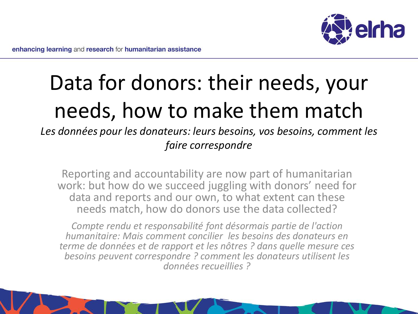

# Data for donors: their needs, your needs, how to make them match

*Les données pour les donateurs: leurs besoins, vos besoins, comment les faire correspondre*

Reporting and accountability are now part of humanitarian work: but how do we succeed juggling with donors' need for data and reports and our own, to what extent can these needs match, how do donors use the data collected?

*Compte rendu et responsabilité font désormais partie de l'action humanitaire: Mais comment concilier les besoins des donateurs en terme de données et de rapport et les nôtres ? dans quelle mesure ces besoins peuvent correspondre ? comment les donateurs utilisent les données recueillies ?*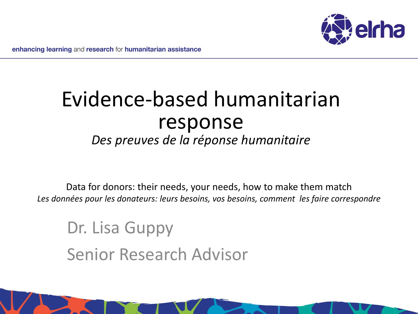

### Evidence-based humanitarian response *Des preuves de la réponse humanitaire*

Data for donors: their needs, your needs, how to make them match *Les données pour les donateurs: leurs besoins, vos besoins, comment les faire correspondre*

Dr. Lisa Guppy Senior Research Advisor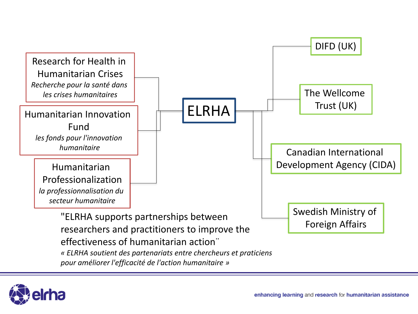

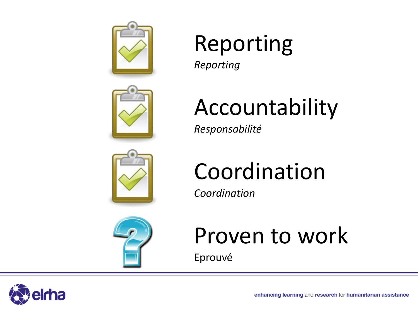

# Reporting

*Reporting*

# Accountability

*Responsabilité*



# Coordination

*Coordination*



### Proven to work

Eprouvé

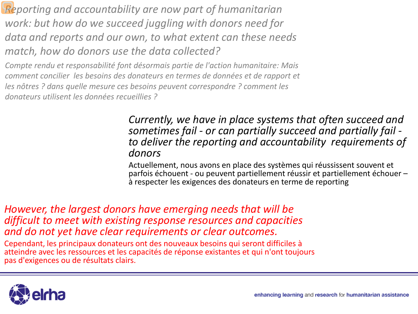*Reporting and accountability are now part of humanitarian work: but how do we succeed juggling with donors need for data and reports and our own, to what extent can these needs match, how do donors use the data collected?* 

*Compte rendu et responsabilité font désormais partie de l'action humanitaire: Mais comment concilier les besoins des donateurs en termes de données et de rapport et les nôtres ? dans quelle mesure ces besoins peuvent correspondre ? comment les donateurs utilisent les données recueillies ?*

### *Currently, we have in place systems that often succeed and sometimes fail - or can partially succeed and partially fail - to deliver the reporting and accountability requirements of donors*

Actuellement, nous avons en place des systèmes qui réussissent souvent et parfois échouent - ou peuvent partiellement réussir et partiellement échouer – à respecter les exigences des donateurs en terme de reporting

*However, the largest donors have emerging needs that will be difficult to meet with existing response resources and capacities and do not yet have clear requirements or clear outcomes.*

Cependant, les principaux donateurs ont des nouveaux besoins qui seront difficiles à atteindre avec les ressources et les capacités de réponse existantes et qui n'ont toujours pas d'exigences ou de résultats clairs.

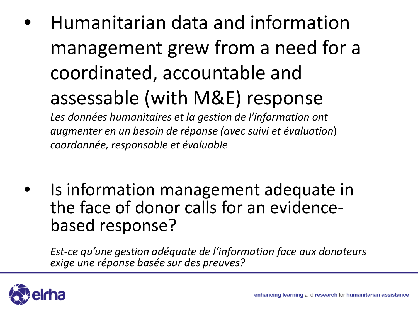• Humanitarian data and information management grew from a need for a coordinated, accountable and assessable (with M&E) response

*Les données humanitaires et la gestion de l'information ont augmenter en un besoin de réponse (avec suivi et évaluation*) *coordonnée, responsable et évaluable*

Is information management adequate in the face of donor calls for an evidence- based response?

*Est-ce qu'une gestion adéquate de l'information face aux donateurs exige une réponse basée sur des preuves?*

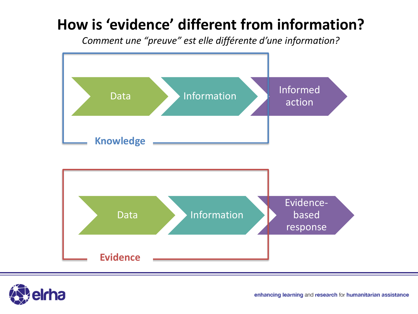### **How is 'evidence' different from information?**

*Comment une "preuve" est elle différente d'une information?*



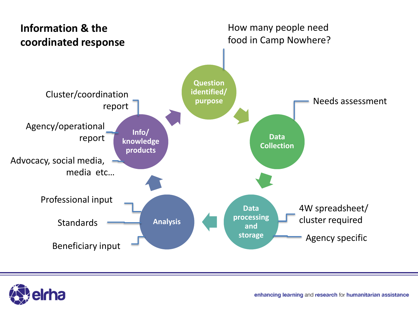

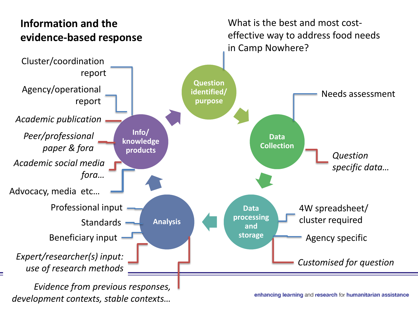

*development contexts, stable contexts…* 

enhancing learning and research for humanitarian assistance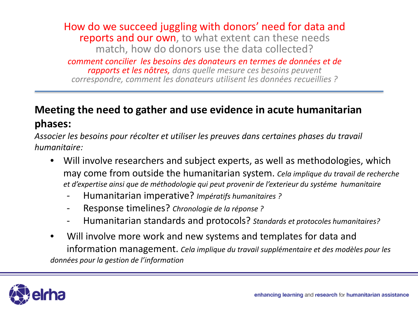How do we succeed juggling with donors' need for data and reports and our own, to what extent can these needs match, how do donors use the data collected?

*comment concilier les besoins des donateurs en termes de données et de rapports et les nôtres, dans quelle mesure ces besoins peuvent correspondre, comment les donateurs utilisent les données recueillies ?*

#### **Meeting the need to gather and use evidence in acute humanitarian phases:**

*Associer les besoins pour récolter et utiliser les preuves dans certaines phases du travail humanitaire:* 

- Will involve researchers and subject experts, as well as methodologies, which may come from outside the humanitarian system. *Cela implique du travail de recherche et d'expertise ainsi que de méthodologie qui peut provenir de l'exterieur du systéme humanitaire*
	- Humanitarian imperative? *Impératifs humanitaires ?*
	- Response timelines? *Chronologie de la réponse ?*
	- Humanitarian standards and protocols? *Standards et protocoles humanitaires?*
- Will involve more work and new systems and templates for data and information management. *Cela implique du travail supplémentaire et des modèles pour les données pour la gestion de l'information*

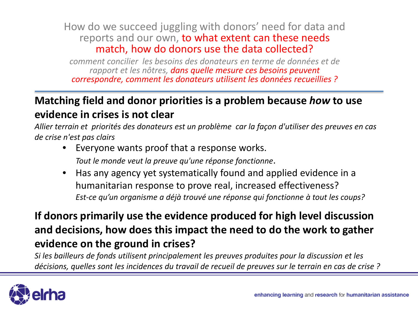#### How do we succeed juggling with donors' need for data and reports and our own, to what extent can these needs match, how do donors use the data collected?

*comment concilier les besoins des donateurs en terme de données et de rapport et les nôtres, dans quelle mesure ces besoins peuvent correspondre, comment les donateurs utilisent les données recueillies ?*

#### **Matching field and donor priorities is a problem because** *how* **to use evidence in crises is not clear**

*Allier terrain et priorités des donateurs est un problème car la façon d'utiliser des preuves en cas de crise n'est pas clairs*

- Everyone wants proof that a response works. *Tout le monde veut la preuve qu'une réponse fonctionne*.
- Has any agency yet systematically found and applied evidence in a humanitarian response to prove real, increased effectiveness? *Est-ce qu'un organisme a déjà trouvé une réponse qui fonctionne à tout les coups?*

### **If donors primarily use the evidence produced for high level discussion and decisions, how does this impact the need to do the work to gather evidence on the ground in crises?**

*Si les bailleurs de fonds utilisent principalement les preuves produites pour la discussion et les décisions, quelles sont les incidences du travail de recueil de preuves sur le terrain en cas de crise ?*